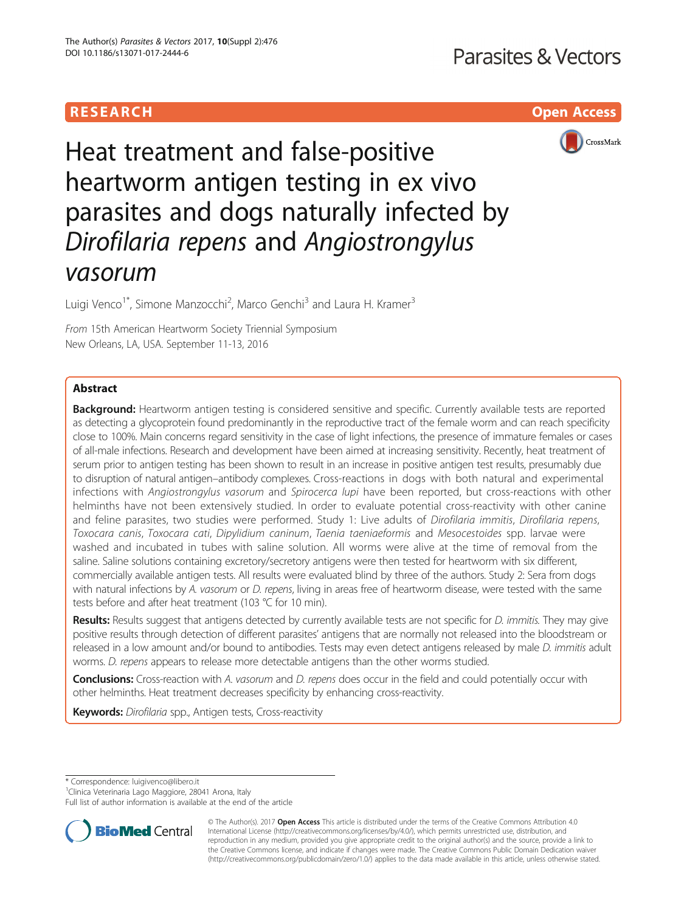# **RESEARCH CHE Open Access**



Heat treatment and false-positive heartworm antigen testing in ex vivo parasites and dogs naturally infected by Dirofilaria repens and Angiostrongylus

s are also trease.<br>Luigi Venco<sup>1\*</sup>, Simone Manzocchi<sup>2</sup>, Marco Genchi<sup>3</sup> and Laura H. Kramer<sup>3</sup>

From 15th American Heartworm Society Triennial Symposium New Orleans, LA, USA. September 11-13, 2016

# Abstract

Background: Heartworm antigen testing is considered sensitive and specific. Currently available tests are reported as detecting a glycoprotein found predominantly in the reproductive tract of the female worm and can reach specificity close to 100%. Main concerns regard sensitivity in the case of light infections, the presence of immature females or cases of all-male infections. Research and development have been aimed at increasing sensitivity. Recently, heat treatment of serum prior to antigen testing has been shown to result in an increase in positive antigen test results, presumably due to disruption of natural antigen–antibody complexes. Cross-reactions in dogs with both natural and experimental infections with Angiostrongylus vasorum and Spirocerca lupi have been reported, but cross-reactions with other helminths have not been extensively studied. In order to evaluate potential cross-reactivity with other canine and feline parasites, two studies were performed. Study 1: Live adults of Dirofilaria immitis, Dirofilaria repens, Toxocara canis, Toxocara cati, Dipylidium caninum, Taenia taeniaeformis and Mesocestoides spp. larvae were washed and incubated in tubes with saline solution. All worms were alive at the time of removal from the saline. Saline solutions containing excretory/secretory antigens were then tested for heartworm with six different, commercially available antigen tests. All results were evaluated blind by three of the authors. Study 2: Sera from dogs with natural infections by A. vasorum or D. repens, living in areas free of heartworm disease, were tested with the same tests before and after heat treatment (103 °C for 10 min).

Results: Results suggest that antigens detected by currently available tests are not specific for *D. immitis*. They may give positive results through detection of different parasites' antigens that are normally not released into the bloodstream or released in a low amount and/or bound to antibodies. Tests may even detect antigens released by male D. immitis adult worms. D. repens appears to release more detectable antigens than the other worms studied.

Conclusions: Cross-reaction with A. vasorum and D. repens does occur in the field and could potentially occur with other helminths. Heat treatment decreases specificity by enhancing cross-reactivity.

Keywords: Dirofilaria spp., Antigen tests, Cross-reactivity

\* Correspondence: [luigivenco@libero.it](mailto:luigivenco@libero.it) <sup>1</sup>

<sup>1</sup> Clinica Veterinaria Lago Maggiore, 28041 Arona, Italy

Full list of author information is available at the end of the article



© The Author(s). 2017 **Open Access** This article is distributed under the terms of the Creative Commons Attribution 4.0 International License [\(http://creativecommons.org/licenses/by/4.0/](http://creativecommons.org/licenses/by/4.0/)), which permits unrestricted use, distribution, and reproduction in any medium, provided you give appropriate credit to the original author(s) and the source, provide a link to the Creative Commons license, and indicate if changes were made. The Creative Commons Public Domain Dedication waiver [\(http://creativecommons.org/publicdomain/zero/1.0/](http://creativecommons.org/publicdomain/zero/1.0/)) applies to the data made available in this article, unless otherwise stated.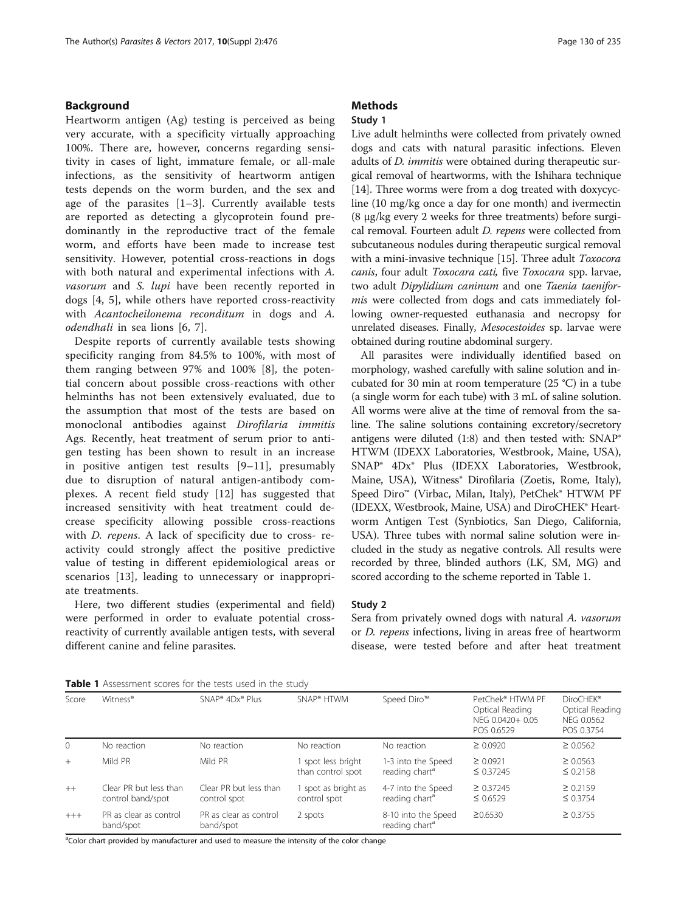# Background

Heartworm antigen (Ag) testing is perceived as being very accurate, with a specificity virtually approaching 100%. There are, however, concerns regarding sensitivity in cases of light, immature female, or all-male infections, as the sensitivity of heartworm antigen tests depends on the worm burden, and the sex and age of the parasites  $[1-3]$  $[1-3]$  $[1-3]$  $[1-3]$  $[1-3]$ . Currently available tests are reported as detecting a glycoprotein found predominantly in the reproductive tract of the female worm, and efforts have been made to increase test sensitivity. However, potential cross-reactions in dogs with both natural and experimental infections with A. vasorum and S. lupi have been recently reported in dogs [\[4](#page-5-0), [5](#page-5-0)], while others have reported cross-reactivity with Acantocheilonema reconditum in dogs and A. odendhali in sea lions [[6, 7](#page-5-0)].

Despite reports of currently available tests showing specificity ranging from 84.5% to 100%, with most of them ranging between 97% and 100% [[8](#page-5-0)], the potential concern about possible cross-reactions with other helminths has not been extensively evaluated, due to the assumption that most of the tests are based on monoclonal antibodies against Dirofilaria immitis Ags. Recently, heat treatment of serum prior to antigen testing has been shown to result in an increase in positive antigen test results [[9](#page-5-0)–[11\]](#page-5-0), presumably due to disruption of natural antigen-antibody complexes. A recent field study [[12\]](#page-5-0) has suggested that increased sensitivity with heat treatment could decrease specificity allowing possible cross-reactions with D. repens. A lack of specificity due to cross- reactivity could strongly affect the positive predictive value of testing in different epidemiological areas or scenarios [[13\]](#page-5-0), leading to unnecessary or inappropriate treatments.

Here, two different studies (experimental and field) were performed in order to evaluate potential crossreactivity of currently available antigen tests, with several different canine and feline parasites.

# Methods

# Study 1

Live adult helminths were collected from privately owned dogs and cats with natural parasitic infections. Eleven adults of *D. immitis* were obtained during therapeutic surgical removal of heartworms, with the Ishihara technique [[14](#page-5-0)]. Three worms were from a dog treated with doxycycline (10 mg/kg once a day for one month) and ivermectin (8 μg/kg every 2 weeks for three treatments) before surgical removal. Fourteen adult D. repens were collected from subcutaneous nodules during therapeutic surgical removal with a mini-invasive technique [\[15\]](#page-5-0). Three adult Toxocora canis, four adult Toxocara cati, five Toxocara spp. larvae, two adult Dipylidium caninum and one Taenia taeniformis were collected from dogs and cats immediately following owner-requested euthanasia and necropsy for unrelated diseases. Finally, Mesocestoides sp. larvae were obtained during routine abdominal surgery.

All parasites were individually identified based on morphology, washed carefully with saline solution and incubated for 30 min at room temperature (25 °C) in a tube (a single worm for each tube) with 3 mL of saline solution. All worms were alive at the time of removal from the saline. The saline solutions containing excretory/secretory antigens were diluted  $(1:8)$  and then tested with:  $SNAP<sup>°</sup>$ HTWM (IDEXX Laboratories, Westbrook, Maine, USA), SNAP® 4Dx® Plus (IDEXX Laboratories, Westbrook, Maine, USA), Witness® Dirofilaria (Zoetis, Rome, Italy), Speed Diro™ (Virbac, Milan, Italy), PetChek® HTWM PF (IDEXX, Westbrook, Maine, USA) and DiroCHEK® Heartworm Antigen Test (Synbiotics, San Diego, California, USA). Three tubes with normal saline solution were included in the study as negative controls. All results were recorded by three, blinded authors (LK, SM, MG) and scored according to the scheme reported in Table 1.

# Study 2

Sera from privately owned dogs with natural A. vasorum or D. repens infections, living in areas free of heartworm disease, were tested before and after heat treatment

| <b>Table 1</b> Assessment scores for the tests used in the study |  |  |
|------------------------------------------------------------------|--|--|
|------------------------------------------------------------------|--|--|

| Score    | Witness <sup>®</sup>                        | SNAP <sup>®</sup> 4Dx <sup>®</sup> Plus | SNAP® HTWM                              | Speed Diro™                                       | PetChek® HTWM PF<br>Optical Reading<br>NEG 0.0420+ 0.05<br>POS 0.6529 | DiroCHFK®<br>Optical Reading<br>NEG 0.0562<br>POS 0.3754 |
|----------|---------------------------------------------|-----------------------------------------|-----------------------------------------|---------------------------------------------------|-----------------------------------------------------------------------|----------------------------------------------------------|
| $\Omega$ | No reaction                                 | No reaction                             | No reaction                             | No reaction                                       | $\geq 0.0920$                                                         | $\geq 0.0562$                                            |
| $+$      | Mild PR                                     | Mild PR                                 | 1 spot less bright<br>than control spot | 1-3 into the Speed<br>reading chart <sup>a</sup>  | $\geq 0.0921$<br>$\leq 0.37245$                                       | $\geq 0.0563$<br>$\leq 0.2158$                           |
| $++$     | Clear PR but less than<br>control band/spot | Clear PR but less than<br>control spot  | spot as bright as<br>control spot       | 4-7 into the Speed<br>reading chart <sup>a</sup>  | $\geq 0.37245$<br>$\leq 0.6529$                                       | $\geq 0.2159$<br>$\leq 0.3754$                           |
| $+++$    | PR as clear as control<br>band/spot         | PR as clear as control<br>band/spot     | 2 spots                                 | 8-10 into the Speed<br>reading chart <sup>a</sup> | ≥0.6530                                                               | $\geq 0.3755$                                            |
|          |                                             |                                         |                                         |                                                   |                                                                       |                                                          |

<sup>a</sup>Color chart provided by manufacturer and used to measure the intensity of the color change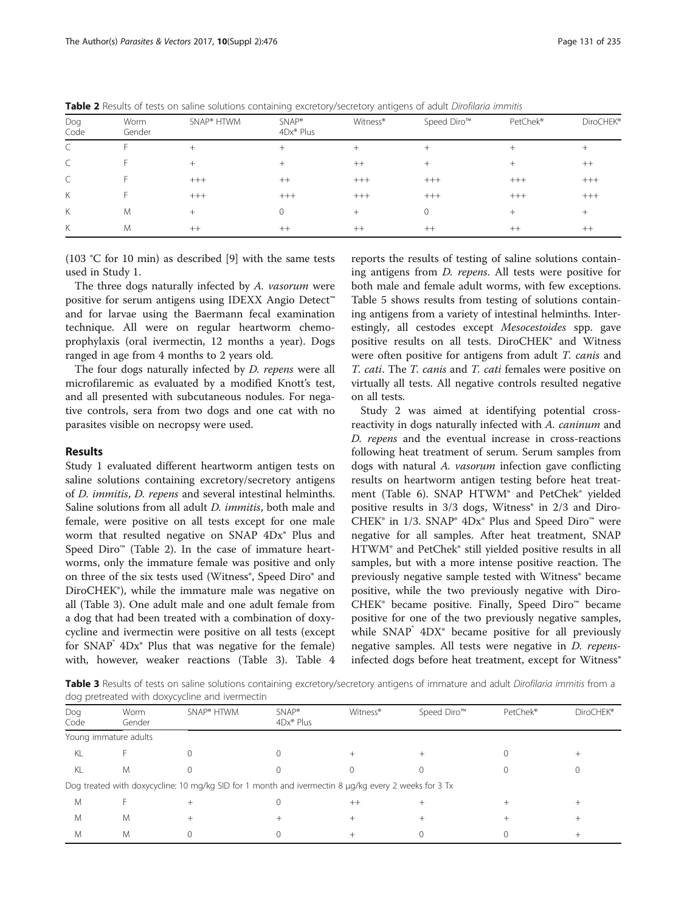| Dog<br>Code | Worm<br>Gender | SNAP® HTWM | SNAP®<br>$4Dx^*$ Plus | Witness <sup>®</sup> | Speed Diro™ | PetChek® | DiroCHEK® |
|-------------|----------------|------------|-----------------------|----------------------|-------------|----------|-----------|
|             |                | $^{+}$     | $^{+}$                | $^+$                 | $^+$        |          | $^{+}$    |
|             |                | $^{+}$     | $^{+}$                | $^{++}$              | $^+$        | $^+$     | $++$      |
|             |                | $+++$      | $++$                  | $+++$                | $+++$       | $+++$    | $+++$     |
| K           |                | $+++$      | $+++$                 | $+++$                | $+++$       | $+++$    | $+++$     |
| K           | M              | $^{+}$     | $\Omega$              | $^{+}$               | 0           | $\! +$   | $^{+}$    |
| K           | M              | $++$       | $++$                  | $++$                 | $++$        | $++$     | $++$      |

Table 2 Results of tests on saline solutions containing excretory/secretory antigens of adult Dirofilaria immitis

(103 °C for 10 min) as described [[9\]](#page-5-0) with the same tests used in Study 1.

The three dogs naturally infected by A. vasorum were positive for serum antigens using IDEXX Angio Detect<sup>™</sup> and for larvae using the Baermann fecal examination technique. All were on regular heartworm chemoprophylaxis (oral ivermectin, 12 months a year). Dogs ranged in age from 4 months to 2 years old.

The four dogs naturally infected by D. repens were all microfilaremic as evaluated by a modified Knott's test, and all presented with subcutaneous nodules. For negative controls, sera from two dogs and one cat with no parasites visible on necropsy were used.

## Results

Study 1 evaluated different heartworm antigen tests on saline solutions containing excretory/secretory antigens of D. immitis, D. repens and several intestinal helminths. Saline solutions from all adult *D. immitis*, both male and female, were positive on all tests except for one male worm that resulted negative on SNAP 4Dx® Plus and Speed Diro<sup> $m$ </sup> (Table 2). In the case of immature heartworms, only the immature female was positive and only on three of the six tests used (Witness<sup>®</sup>, Speed Diro<sup>®</sup> and DiroCHEK®), while the immature male was negative on all (Table 3). One adult male and one adult female from a dog that had been treated with a combination of doxycycline and ivermectin were positive on all tests (except for  $SNAP^{\dagger}$   $4Dx^{\dagger}$  Plus that was negative for the female) with, however, weaker reactions (Table 3). Table [4](#page-3-0)

reports the results of testing of saline solutions containing antigens from D. repens. All tests were positive for both male and female adult worms, with few exceptions. Table [5](#page-3-0) shows results from testing of solutions containing antigens from a variety of intestinal helminths. Interestingly, all cestodes except Mesocestoides spp. gave positive results on all tests. DiroCHEK® and Witness were often positive for antigens from adult T. canis and T. cati. The T. canis and T. cati females were positive on virtually all tests. All negative controls resulted negative on all tests.

Study 2 was aimed at identifying potential crossreactivity in dogs naturally infected with A. caninum and D. repens and the eventual increase in cross-reactions following heat treatment of serum. Serum samples from dogs with natural A. vasorum infection gave conflicting results on heartworm antigen testing before heat treatment (Table [6](#page-4-0)). SNAP HTWM® and PetChek® yielded positive results in  $3/3$  dogs, Witness<sup>®</sup> in  $2/3$  and Diro-CHEK® in 1/3. SNAP®  $4Dx$ ® Plus and Speed Diro™ were negative for all samples. After heat treatment, SNAP HTWM® and PetChek® still yielded positive results in all samples, but with a more intense positive reaction. The previously negative sample tested with Witness<sup>®</sup> became positive, while the two previously negative with Diro-CHEK® became positive. Finally, Speed Diro™ became positive for one of the two previously negative samples, while  $SNAP^*$   $4DX^*$  became positive for all previously negative samples. All tests were negative in *D. repens*infected dogs before heat treatment, except for Witness®

Table 3 Results of tests on saline solutions containing excretory/secretory antigens of immature and adult Dirofilaria immitis from a dog pretreated with doxycycline and ivermectin

| - - - -     |                       | $\overline{\phantom{a}}$                                                                             |                                |                      |             |          |           |
|-------------|-----------------------|------------------------------------------------------------------------------------------------------|--------------------------------|----------------------|-------------|----------|-----------|
| Dog<br>Code | Worm<br>Gender        | SNAP® HTWM                                                                                           | SNAP®<br>4Dx <sup>®</sup> Plus | Witness <sup>®</sup> | Speed Diro™ | PetChek® | DiroCHEK® |
|             | Young immature adults |                                                                                                      |                                |                      |             |          |           |
| KL          |                       |                                                                                                      |                                |                      |             |          |           |
| KL          | M                     |                                                                                                      |                                |                      |             |          |           |
|             |                       | Dog treated with doxycycline: 10 mg/kg SID for 1 month and ivermectin 8 µg/kg every 2 weeks for 3 Tx |                                |                      |             |          |           |
| M           |                       |                                                                                                      |                                | $^{++}$              |             |          |           |
| M           | M                     |                                                                                                      |                                |                      |             |          |           |
| M           | M                     |                                                                                                      |                                |                      |             |          |           |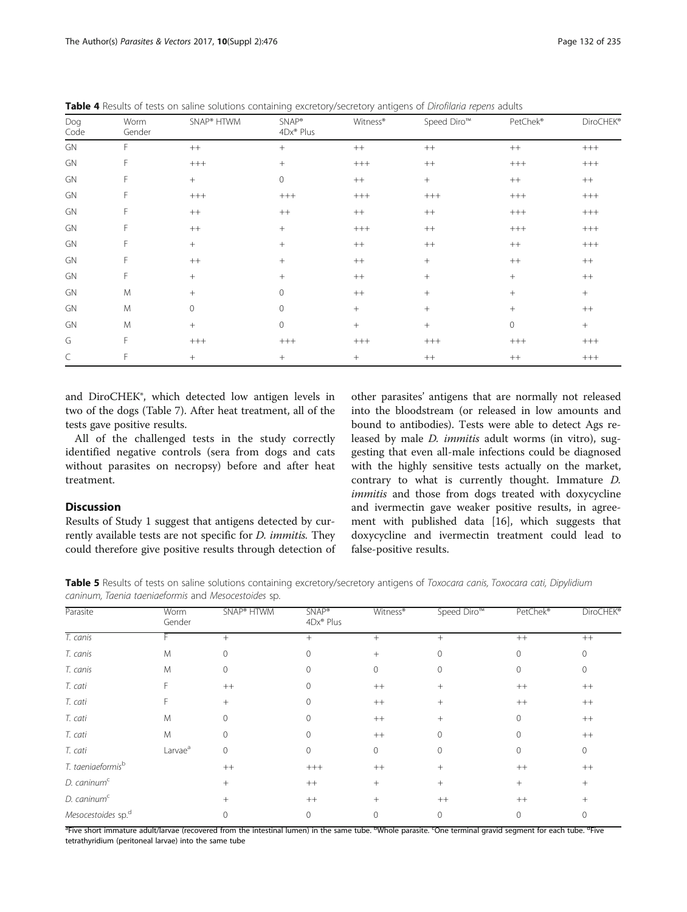| Dog<br>Code | Worm<br>Gender | SNAP® HTWM   | SNAP®<br>4Dx® Plus  | Witness® | Speed Diro™ | PetChek® | DiroCHEK® |
|-------------|----------------|--------------|---------------------|----------|-------------|----------|-----------|
| GN          | F              | $++$         | $^{+}$              | $++$     | $++$        | $++$     | $+++$     |
| GN          | F              | $^{+++}$     | $^{+}$              | $++++$   | $++$        | $^{+++}$ | $^{+++}$  |
| GN          | F              | $^{+}$       | $\mathsf{O}\xspace$ | $^{++}$  | $^{+}$      | $++$     | $^{++}$   |
| GN          | F              | $^{+++}$     | $^{+++}$            | $^{+++}$ | $^{+++}$    | $+++$    | $+++$     |
| GN          | F              | $++$         | $++$                | $++$     | $++$        | $^{+++}$ | $+++$     |
| GN          | F              | $++$         | $^{+}$              | $^{+++}$ | $++$        | $^{+++}$ | $+++$     |
| GN          | F              | $+$          | $^{+}$              | $++$     | $++$        | $++$     | $+++$     |
| GN          | F              | $^{++}$      | $^{+}$              | $++$     | $^{+}$      | $++$     | $^{++}$   |
| GN          | F              | $+$          | $+$                 | $++$     | $+$         | $^{+}$   | $^{++}$   |
| GN          | M              | $+$          | $\Omega$            | $++$     | $+$         | $+$      | $+$       |
| GN          | M              | $\mathbf{0}$ | $\mathbf 0$         | $^{+}$   | $+$         | $^{+}$   | $++$      |
| GN          | M              | $+$          | $\circ$             | $+$      | $+$         | $\circ$  | $+$       |
| G           | F              | $^{+++}$     | $^{+++}$            | $^{+++}$ | $^{+++}$    | $^{+++}$ | $+++$     |
| C           | F              | $+$          | $+$                 | $^{+}$   | $++$        | $++$     | $+++$     |

<span id="page-3-0"></span>Table 4 Results of tests on saline solutions containing excretory/secretory antigens of Dirofilaria repens adults

and DiroCHEK®, which detected low antigen levels in two of the dogs (Table [7\)](#page-4-0). After heat treatment, all of the tests gave positive results.

All of the challenged tests in the study correctly identified negative controls (sera from dogs and cats without parasites on necropsy) before and after heat treatment.

# **Discussion**

Results of Study 1 suggest that antigens detected by currently available tests are not specific for D. immitis. They could therefore give positive results through detection of

other parasites' antigens that are normally not released into the bloodstream (or released in low amounts and bound to antibodies). Tests were able to detect Ags released by male D. immitis adult worms (in vitro), suggesting that even all-male infections could be diagnosed with the highly sensitive tests actually on the market, contrary to what is currently thought. Immature D. immitis and those from dogs treated with doxycycline and ivermectin gave weaker positive results, in agreement with published data [[16](#page-5-0)], which suggests that doxycycline and ivermectin treatment could lead to false-positive results.

Table 5 Results of tests on saline solutions containing excretory/secretory antigens of Toxocara canis, Toxocara cati, Dipylidium caninum, Taenia taeniaeformis and Mesocestoides sp.

| Parasite                       | Worm<br>Gender      | SNAP® HTWM   | SNAP <sup>®</sup><br>4Dx® Plus | Witness <sup>®</sup> | Speed Diro™ | PetChek® | DiroCHEK®   |
|--------------------------------|---------------------|--------------|--------------------------------|----------------------|-------------|----------|-------------|
| T. canis                       |                     | $+$          | $^{+}$                         | $+$                  | $+$         | $++$     | $^{++}$     |
| T. canis                       | M                   | 0            | $\Omega$                       | $^{+}$               | 0           | $\Omega$ | 0           |
| T. canis                       | M                   | $\Omega$     |                                |                      | $\Omega$    |          | 0           |
| T. cati                        | F                   | $^{++}$      | $\Omega$                       | $^{++}$              | $^{+}$      | $^{++}$  | $++$        |
| T. cati                        |                     | $^{+}$       | $\Omega$                       | $^{++}$              | $+$         | $++$     | $++$        |
| T. cati                        | M                   | 0            |                                | $++$                 | $^{+}$      | 0        | $++$        |
| T. cati                        | M                   | $\Omega$     | $\Omega$                       | $++$                 | $\Omega$    | 0        | $^{++}$     |
| T. cati                        | Larvae <sup>a</sup> | $\mathbf{0}$ | $\Omega$                       | $\overline{0}$       | $\Omega$    | $\Omega$ | $\mathbf 0$ |
| T. taeniaeformis <sup>b</sup>  |                     | $^{++}$      | $+++$                          | $++$                 | $+$         | $^{++}$  | $^{++}$     |
| D. caninum <sup>c</sup>        |                     | $^{+}$       | $++$                           | $^{+}$               | $^{+}$      | $^{+}$   | $^{+}$      |
| $D.$ caninum $c$               |                     | $^{+}$       | $++$                           | $^{+}$               | $++$        | $^{++}$  | $^+$        |
| Mesocestoides sp. <sup>d</sup> |                     | $\Omega$     | $\mathbf{0}$                   | $\Omega$             | 0           | $\Omega$ | 0           |

<sup>a</sup>Five short immature adult/larvae (recovered from the intestinal lumen) in the same tube. <sup>b</sup>Whole parasite. <sup>C</sup>One terminal gravid segment for each tube. <sup>d</sup>Five tetrathyridium (peritoneal larvae) into the same tube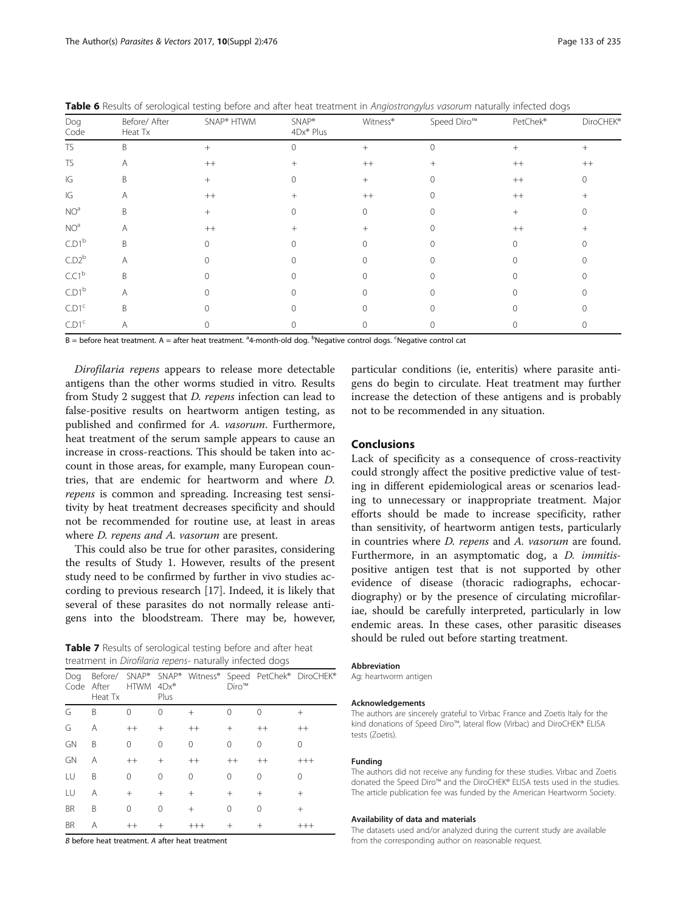| Dog<br>Code       | Before/ After<br>Heat Tx | SNAP® HTWM | SNAP®<br>4Dx <sup>®</sup> Plus | Witness® | Speed Diro <sup>™</sup> | PetChek® | DiroCHEK® |
|-------------------|--------------------------|------------|--------------------------------|----------|-------------------------|----------|-----------|
| <b>TS</b>         | B.                       | $^{+}$     | $\cap$                         | $+$      |                         | $^{+}$   | $^{+}$    |
| <b>TS</b>         | Α                        | $^{++}$    |                                | $^{++}$  |                         | $^{++}$  | $++$      |
| $\overline{G}$    | B                        | $^{+}$     |                                | $^{+}$   |                         | $++$     | $\Omega$  |
| IG                | Α                        | $^{++}$    |                                | $++$     |                         | $++$     |           |
| NO <sup>a</sup>   | B                        | $^{+}$     |                                |          |                         | $^{+}$   |           |
| NO <sup>a</sup>   | Α                        | $++$       |                                |          |                         | $++$     |           |
| $CD1^b$           | B                        | ∩          |                                |          |                         |          |           |
| $CD2^b$           | Α                        |            |                                |          |                         |          |           |
| C.C1 <sup>b</sup> | B                        |            |                                |          |                         |          |           |
| $CD1^b$           | A                        |            |                                |          |                         |          |           |
| C.D1 <sup>c</sup> | B                        |            |                                |          |                         |          |           |
| C.D1 <sup>c</sup> | Α                        |            |                                |          |                         |          |           |

<span id="page-4-0"></span>Table 6 Results of serological testing before and after heat treatment in Angiostrongylus vasorum naturally infected dogs

B = before heat treatment. A = after heat treatment. <sup>a</sup>4-month-old dog. <sup>b</sup>Negative control dogs. <sup>c</sup>Negative control cat

Dirofilaria repens appears to release more detectable antigens than the other worms studied in vitro. Results from Study 2 suggest that D. repens infection can lead to false-positive results on heartworm antigen testing, as published and confirmed for A. vasorum. Furthermore, heat treatment of the serum sample appears to cause an increase in cross-reactions. This should be taken into account in those areas, for example, many European countries, that are endemic for heartworm and where D. repens is common and spreading. Increasing test sensitivity by heat treatment decreases specificity and should not be recommended for routine use, at least in areas where *D. repens and A. vasorum* are present.

This could also be true for other parasites, considering the results of Study 1. However, results of the present study need to be confirmed by further in vivo studies according to previous research [\[17](#page-5-0)]. Indeed, it is likely that several of these parasites do not normally release antigens into the bloodstream. There may be, however,

Table 7 Results of serological testing before and after heat treatment in Dirofilaria repens- naturally infected dogs

|             |                  |             |                 |          |                   | $\tilde{\phantom{a}}$ |                                                       |
|-------------|------------------|-------------|-----------------|----------|-------------------|-----------------------|-------------------------------------------------------|
| Dog<br>Code | After<br>Heat Tx | <b>HTWM</b> | $4Dx^*$<br>Plus |          | Diro <sup>™</sup> |                       | Before/ SNAP® SNAP® Witness® Speed PetChek® DiroCHEK® |
| G           | B                | 0           | 0               | $^{+}$   | 0                 | 0                     | $^{+}$                                                |
| G           | Α                | $++$        | $+$             | $++$     | $^{+}$            | $++$                  | $++$                                                  |
| GN          | B                | 0           | 0               | $\Omega$ | $\Omega$          | 0                     | 0                                                     |
| GN          | Α                | $++$        | $^{+}$          | $^{++}$  | $++$              | $^{++}$               | $^{+++}$                                              |
| LU          | B                | $\Omega$    | 0               | $\Omega$ | $\Omega$          | 0                     | 0                                                     |
| LU          | Α                | $^{+}$      | $^{+}$          | $^{+}$   | $^{+}$            | $^{+}$                | $^{+}$                                                |
| <b>BR</b>   | B                | 0           | $\Omega$        | $^{+}$   | $\Omega$          | 0                     | $^{+}$                                                |
| <b>BR</b>   | А                | $^{++}$     | $^+$            | $^{+++}$ | $^+$              | $^+$                  |                                                       |

B before heat treatment. A after heat treatment

particular conditions (ie, enteritis) where parasite antigens do begin to circulate. Heat treatment may further increase the detection of these antigens and is probably not to be recommended in any situation.

# Conclusions

Lack of specificity as a consequence of cross-reactivity could strongly affect the positive predictive value of testing in different epidemiological areas or scenarios leading to unnecessary or inappropriate treatment. Major efforts should be made to increase specificity, rather than sensitivity, of heartworm antigen tests, particularly in countries where D. repens and A. vasorum are found. Furthermore, in an asymptomatic dog, a D. immitispositive antigen test that is not supported by other evidence of disease (thoracic radiographs, echocardiography) or by the presence of circulating microfilariae, should be carefully interpreted, particularly in low endemic areas. In these cases, other parasitic diseases should be ruled out before starting treatment.

#### Abbreviation

Ag: heartworm antigen

#### Acknowledgements

The authors are sincerely grateful to Virbac France and Zoetis Italy for the kind donations of Speed Diro™, lateral flow (Virbac) and DiroCHEK® ELISA tests (Zoetis).

### Funding

The authors did not receive any funding for these studies. Virbac and Zoetis donated the Speed Diro™ and the DiroCHEK® ELISA tests used in the studies. The article publication fee was funded by the American Heartworm Society.

#### Availability of data and materials

The datasets used and/or analyzed during the current study are available from the corresponding author on reasonable request.